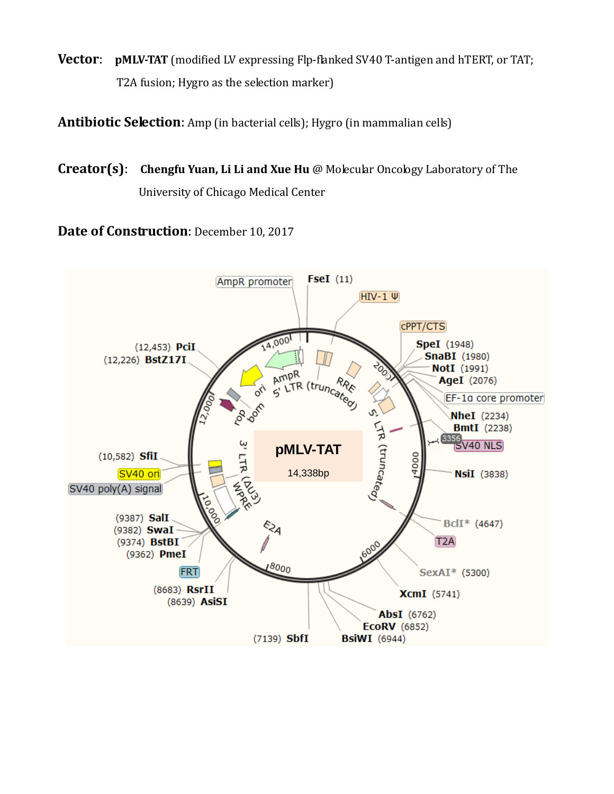**Vector: pMLV-TAT** (modified LV expressing Flp-flanked SV40 T-antigen and hTERT, or TAT; T2A fusion; Hygro as the selection marker)

**Antibiotic Selection**: Amp (in bacterial cells); Hygro (in mammalian cells)

**Creator(s)**: **Chengfu Yuan, Li Li and Xue Hu** @ Molecular Oncology Laboratory of The University of Chicago Medical Center

**Date of Construction**: December 10, 2017

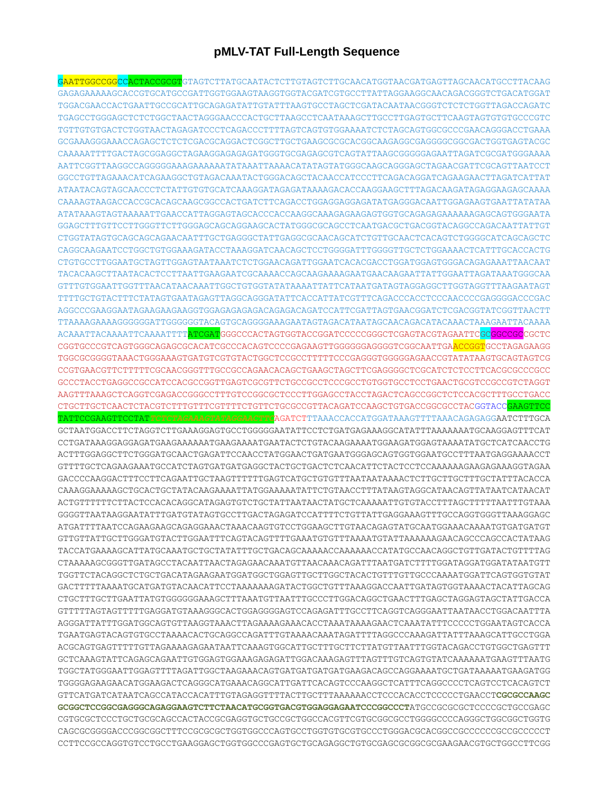## **pMLV-TAT Full-Length Sequence**

GAATTGGCCGGCCACTACCGCGTGTAGTCTTATGCAATACTCTTGTAGTCTTGCAACATGGTAACGATGAGTTAGCAACATGCCTTACAAG GAGAGAAAAAGCACCGTGCATGCCGATTGGTGGAAGTAAGGTGGTACGATCGTGCCTTATTAGGAAGGCAACAGACGGGTCTGACATGGAT TGGACGAACCACTGAATTGCCGCATTGCAGAGATATTGTATTTAAGTGCCTAGCTCGATACAATAACGGGTCTCTCTGGTTAGACCAGATC TGAGCCTGGGAGCTCTCTGGCTAACTAGGGAACCCACTGCTTAAGCCTCAATAAAGCTTGCCTTGAGTGCTTCAAGTAGTGTGTGCCCGTC TGTTGTGTGACTCTGGTAACTAGAGATCCCTCAGACCCTTTTAGTCAGTGTGGAAAATCTCTAGCAGTGGCGCCCGAACAGGGACCTGAAA GCGAAAGGGAAACCAGAGCTCTCTCGACGCAGGACTCGGCTTGCTGAAGCGCGCACGGCAAGAGGCGAGGGGCGGCGACTGGTGAGTACGC CAAAAATTTTGACTAGCGGAGGCTAGAAGGAGAGAGATGGGTGCGAGAGCGTCAGTATTAAGCGGGGGAGAATTAGATCGCGATGGGAAAA AATTCGGTTAAGGCCAGGGGGAAAGAAAAAATATAAATTAAAACATATAGTATGGGCAAGCAGGGAGCTAGAACGATTCGCAGTTAATCCT GGCCTGTTAGAAACATCAGAAGGCTGTAGACAAATACTGGGACAGCTACAACCATCCCTTCAGACAGGATCAGAAGAACTTAGATCATTAT ATAATACAGTAGCAACCCTCTATTGTGTGCATCAAAGGATAGAGATAAAAGACACCAAGGAAGCTTTAGACAAGATAGAGGAAGAGCAAAA CAAAAGTAAGACCACCGCACAGCAAGCGGCCACTGATCTTCAGACCTGGAGGAGGAGATATGAGGGACAATTGGAGAAGTGAATTATATAA ATATAAAGTAGTAAAAATTGAACCATTAGGAGTAGCACCCACCAAGGCAAAGAGAAGAGTGGTGCAGAGAGAAAAAAGAGCAGTGGGAATA GGAGCTTTGTTCCTTGGGTTCTTGGGAGCAGCAGGAAGCACTATGGGCGCAGCCTCAATGACGCTGACGGTACAGGCCAGACAATTATTGT CTGGTATAGTGCAGCAGCAGAACAATTTGCTGAGGGCTATTGAGGCGCAACAGCATCTGTTGCAACTCACAGTCTGGGGCATCAGCAGCTC CAGGCAAGAATCCTGGCTGTGGAAAGATACCTAAAGGATCAACAGCTCCTGGGGATTTGGGGTTGCTCTGGAAAACTCATTTGCACCACTG CTGTGCCTTGGAATGCTAGTTGGAGTAATAAATCTCTGGAACAGATTGGAATCACACGACCTGGATGGAGTGGGACAGAGAAATTAACAAT TACACAAGCTTAATACACTCCTTAATTGAAGAATCGCAAAACCAGCAAGAAAAGAATGAACAAGAATTATTGGAATTAGATAAATGGGCAA GTTTGTGGAATTGGTTTAACATAACAAATTGGCTGTGGTATATAAAATTATTCATAATGATAGTAGGAGGCTTGGTAGGTTTAAGAATAGT TTTTGCTGTACTTTCTATAGTGAATAGAGTTAGGCAGGGATATTCACCATTATCGTTTCAGACCCACCTCCCAACCCCGAGGGGACCCGAC AGGCCCGAAGGAATAGAAGAAGAAGGTGGAGAGAGAGACAGAGACAGATCCATTCGATTAGTGAACGGATCTCGACGGTATCGGTTAACTT TTAAAAGAAAAGGGGGGATTGGGGGGTACAGTGCAGGGGAAAGAATAGTAGACATAATAGCAACAGACATACAAACTAAAGAATTACAAAA ACAAATTACAAAATTCAAAATTTTATCGATGGGCCCACTAGTGGTACCGGATCCCCCGGGCTCGAGTACGTAGAATTCGCGGCCGCCGCTC CGGTGCCCGTCAGTGGGCAGAGCGCACATCGCCCACAGTCCCCGAGAAGTTGGGGGGAGGGTCGGCAATTGAACCGGTGCCTAGAGAAGG TGGCGCGGGGTAAACTGGGAAAGTGATGTCGTGTACTGGCTCCGCCTTTTTCCCGAGGGTGGGGGAGAACCGTATATAAGTGCAGTAGTCG CCGTGAACGTTCTTTTTCGCAACGGGTTTGCCGCCAGAACACAGCTGAAGCTAGCTTCGAGGGGCTCGCATCTCTCCTTCACGCGCCCGCC GCCCTACCTGAGGCCGCCATCCACGCCGGTTGAGTCGCGTTCTGCCGCCTCCCGCCTGTGGTGCCTCCTGAACTGCGTCCGCCGTCTAGGT AAGTTTAAAGCTCAGGTCGAGACCGGGCCTTTGTCCGGCGCTCCCTTGGAGCCTACCTAGACTCAGCCGGCTCTCCACGCTTTGCCTGACC CTGCTTGCTCAACTCTACGTCTTTGTTTCGTTTTCTGTTCTGCGCCGTTACAGATCCAAGCTGTGACCGGCGCCTACGGTACCGAAGTTCC TATTCCGAAGTTCCTAT*TCTCTAGAAAGTATAGGAACTTC*AGATCTTTAAACCACCATGGATAAAGTTTTAAACAGAGAGGAATCTTTGCA GCTAATGGACCTTCTAGGTCTTGAAAGGAGTGCCTGGGGGAATATTCCTCTGATGAGAAAGGCATATTTAAAAAAATGCAAGGAGTTTCAT CCTGATAAAGGAGGAGATGAAGAAAAAATGAAGAAAATGAATACTCTGTACAAGAAAATGGAAGATGGAGTAAAATATGCTCATCAACCTG ACTTTGGAGGCTTCTGGGATGCAACTGAGATTCCAACCTATGGAACTGATGAATGGGAGCAGTGGTGGAATGCCTTTAATGAGGAAAACCT GTTTTGCTCAGAAGAAATGCCATCTAGTGATGATGAGGCTACTGCTGACTCTCAACATTCTACTCCTCCAAAAAAGAAGAGAAAGGTAGAA GACCCCAAGGACTTTCCTTCAGAATTGCTAAGTTTTTTGAGTCATGCTGTGTTTAATAATAAAACTCTTGCTTGCTTTGCTATTTACACCA CAAAGGAAAAAGCTGCACTGCTATACAAGAAAATTATGGAAAAATATTCTGTAACCTTTATAAGTAGGCATAACAGTTATAATCATAACAT ACTGTTTTTTCTTACTCCACACAGGCATAGAGTGTCTGCTATTAATAACTATGCTCAAAAATTGTGTACCTTTAGCTTTTTAATTTGTAAA GGGGTTAATAAGGAATATTTGATGTATAGTGCCTTGACTAGAGATCCATTTTCTGTTATTGAGGAAAGTTTGCCAGGTGGGTTAAAGGAGC ATGATTTTAATCCAGAAGAAGCAGAGGAAACTAAACAAGTGTCCTGGAAGCTTGTAACAGAGTATGCAATGGAAACAAAATGTGATGATGT GTTGTTATTGCTTGGGATGTACTTGGAATTTCAGTACAGTTTTGAAATGTGTTTAAAATGTATTAAAAAAGAACAGCCCAGCCACTATAAG TACCATGAAAAGCATTATGCAAATGCTGCTATATTTGCTGACAGCAAAAACCAAAAAACCATATGCCAACAGGCTGTTGATACTGTTTTAG CTAAAAAGCGGGTTGATAGCCTACAATTAACTAGAGAACAAATGTTAACAAACAGATTTAATGATCTTTTGGATAGGATGGATATAATGTT TGGTTCTACAGGCTCTGCTGACATAGAAGAATGGATGGCTGGAGTTGCTTGGCTACACTGTTTGTTGCCCAAAATGGATTCAGTGGTGTAT GACTTTTTAAAATGCATGATGTACAACATTCCTAAAAAAAGATACTGGCTGTTTAAAGGACCAATTGATAGTGGTAAAACTACATTAGCAG CTGCTTTGCTTGAATTATGTGGGGGGAAAGCTTTAAATGTTAATTTGCCCTTGGACAGGCTGAACTTTGAGCTAGGAGTAGCTATTGACCA GTTTTTAGTAGTTTTTGAGGATGTAAAGGGCACTGGAGGGGAGTCCAGAGATTTGCCTTCAGGTCAGGGAATTAATAACCTGGACAATTTA AGGGATTATTTGGATGGCAGTGTTAAGGTAAACTTAGAAAAGAAACACCTAAATAAAAGAACTCAAATATTTCCCCCTGGAATAGTCACCA TGAATGAGTACAGTGTGCCTAAAACACTGCAGGCCAGATTTGTAAAACAAATAGATTTTAGGCCCAAAGATTATTTAAAGCATTGCCTGGA ACGCAGTGAGTTTTTGTTAGAAAAGAGAATAATTCAAAGTGGCATTGCTTTGCTTCTTATGTTAATTTGGTACAGACCTGTGGCTGAGTTT GCTCAAAGTATTCAGAGCAGAATTGTGGAGTGGAAAGAGAGATTGGACAAAGAGTTTAGTTTGTCAGTGTATCAAAAAATGAAGTTTAATG TGGCTATGGGAATTGGAGTTTTAGATTGGCTAAGAAACAGTGATGATGATGATGAAGACAGCCAGGAAAATGCTGATAAAAATGAAGATGG TGGGGAGAAGAACATGGAAGACTCAGGGCATGAAACAGGCATTGATTCACAGTCCCAAGGCTCATTTCAGGCCCCTCAGTCCTCACAGTCT GTTCATGATCATAATCAGCCATACCACATTTGTAGAGGTTTTACTTGCTTTAAAAAACCTCCCACACCTCCCCCTGAACCT**CGCGCCAAGC GCGGCTCCGGCGAGGGCAGAGGAAGTCTTCTAACATGCGGTGACGTGGAGGAGAATCCCGGCCCT**ATGCCGCGCGCTCCCCGCTGCCGAGC CGTGCGCTCCCTGCTGCGCAGCCACTACCGCGAGGTGCTGCCGCTGGCCACGTTCGTGCGGCGCCTGGGGCCCCAGGGCTGGCGGCTGGTG CAGCGCGGGGACCCGGCGGCTTTCCGCGCGCTGGTGGCCCAGTGCCTGGTGTGCGTGCCCTGGGACGCACGGCCGCCCCCCGCCGCCCCCT CCTTCCGCCAGGTGTCCTGCCTGAAGGAGCTGGTGGCCCGAGTGCTGCAGAGGCTGTGCGAGCGCGGCGCGAAGAACGTGCTGGCCTTCGG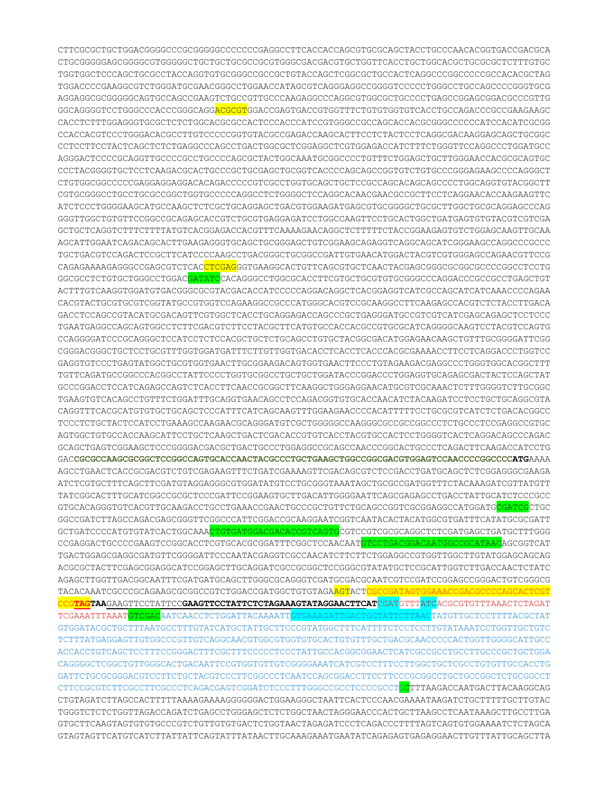CTTCGCGCTGCTGGACGGGGCCCGCGGGGGCCCCCCCGAGGCCTTCACCACCAGCGTGCGCAGCTACCTGCCCAACACGGTGACCGACGCA CTGCGGGGGAGCGGGGCGTGGGGGCTGCTGCTGCGCCGCGTGGGCGACGACGTGCTGGTTCACCTGCTGGCACGCTGCGCGCTCTTTGTGC TGGTGGCTCCCAGCTGCGCCTACCAGGTGTGCGGGCCGCCGCTGTACCAGCTCGGCGCTGCCACTCAGGCCCGGCCCCCGCCACACGCTAG TGGACCCCGAAGGCGTCTGGGATGCGAACGGGCCTGGAACCATAGCGTCAGGGAGGCCGGGGTCCCCCTGGGCCTGCCAGCCCCGGGTGCG AGGAGGCGCGGGGGCAGTGCCAGCCGAAGTCTGCCGTTGCCCAAGAGGCCCAGGCGTGGCGCTGCCCCTGAGCCGGAGCGGACGCCCGTTG GGCAGGGGTCCTGGGCCCACCCGGGCAGGACGCGTGGACCGAGTGACCGTGGTTTCTGTGTGGTGTCACCTGCCAGACCCGCCGAAGAAGC CACCTCTTTGGAGGGTGCGCTCTCTGGCACGCGCCACTCCCACCCATCCGTGGGCCGCCAGCACCACGCGGGCCCCCCATCCACATCGCGG CCACCACGTCCCTGGGACACGCCTTGTCCCCCGGTGTACGCCGAGACCAAGCACTTCCTCTACTCCTCAGGCGACAAGGAGCAGCTGCGGC CCTCCTTCCTACTCAGCTCTCTGAGGCCCAGCCTGACTGGCGCTCGGAGGCTCGTGGAGACCATCTTTCTGGGTTCCAGGCCCTGGATGCC AGGGACTCCCCGCAGGTTGCCCCGCCTGCCCCAGCGCTACTGGCAAATGCGGCCCCTGTTTCTGGAGCTGCTTGGGAACCACGCGCAGTGC CCCTACGGGGTGCTCCTCAAGACGCACTGCCCGCTGCGAGCTGCGGTCACCCCAGCAGCCGGTGTCTGTGCCCGGGAGAAGCCCCAGGGCT CTGTGGCGGCCCCCGAGGAGGAGGACACAGACCCCCGTCGCCTGGTGCAGCTGCTCCGCCAGCACAGCAGCCCCTGGCAGGTGTACGGCTT CGTGCGGGCCTGCCTGCGCCGGCTGGTGCCCCCAGGCCTCTGGGGCTCCAGGCACAACGAACGCCGCTTCCTCAGGAACACCAAGAAGTTC ATCTCCCTGGGGAAGCATGCCAAGCTCTCGCTGCAGGAGCTGACGTGGAAGATGAGCGTGCGGGGCTGCGCTTGGCTGCGCAGGAGCCCAG GGGTTGGCTGTGTTCCGGCCGCAGAGCACCGTCTGCGTGAGGAGATCCTGGCCAAGTTCCTGCACTGGCTGATGAGTGTGTACGTCGTCGA GCTGCTCAGGTCTTTCTTTTATGTCACGGAGACCACGTTTCAAAAGAACAGGCTCTTTTTCTACCGGAAGAGTGTCTGGAGCAAGTTGCAA AGCATTGGAATCAGACAGCACTTGAAGAGGGTGCAGCTGCGGGAGCTGTCGGAAGCAGAGGTCAGGCAGCATCGGGAAGCCAGGCCCGCCC TGCTGACGTCCAGACTCCGCTTCATCCCCAAGCCTGACGGGCTGCGGCCGATTGTGAACATGGACTACGTCGTGGGAGCCAGAACGTTCCG CAGAGAAAAGAGGGCCGAGCGTCTCACCTCGAGGGTGAAGGCACTGTTCAGCGTGCTCAACTACGAGCGGGCGCGGCGCCCCGGCCTCCTG GGCGCCTCTGTGCTGGGCCTGGACGATATCCACAGGGCCTGGCGCACCTTCGTGCTGCGTGTGCGGGCCCAGGACCCGCCGCCTGAGCTGT ACTTTGTCAAGGTGGATGTGACGGGCGCGTACGACACCATCCCCCAGGACAGGCTCACGGAGGTCATCGCCAGCATCATCAAACCCCAGAA CACGTACTGCGTGCGTCGGTATGCCGTGGTCCAGAAGGCCGCCCATGGGCACGTCCGCAAGGCCTTCAAGAGCCACGTCTCTACCTTGACA GACCTCCAGCCGTACATGCGACAGTTCGTGGCTCACCTGCAGGAGACCAGCCCGCTGAGGGATGCCGTCGTCATCGAGCAGAGCTCCTCCC TGAATGAGGCCAGCAGTGGCCTCTTCGACGTCTTCCTACGCTTCATGTGCCACCACGCCGTGCGCATCAGGGGCAAGTCCTACGTCCAGTG CCAGGGGATCCCGCAGGGCTCCATCCTCTCCACGCTGCTCTGCAGCCTGTGCTACGGCGACATGGAGAACAAGCTGTTTGCGGGGATTCGG CGGGACGGGCTGCTCCTGCGTTTGGTGGATGATTTCTTGTTGGTGACACCTCACCTCACCCACGCGAAAACCTTCCTCAGGACCCTGGTCC GAGGTGTCCCTGAGTATGGCTGCGTGGTGAACTTGCGGAAGACAGTGGTGAACTTCCCTGTAGAAGACGAGGCCCTGGGTGGCACGGCTTT TGTTCAGATGCCGGCCCACGGCCTATTCCCCTGGTGCGGCCTGCTGCTGGATACCCGGACCCTGGAGGTGCAGAGCGACTACTCCAGCTAT GCCCGGACCTCCATCAGAGCCAGTCTCACCTTCAACCGCGGCTTCAAGGCTGGGAGGAACATGCGTCGCAAACTCTTTGGGGTCTTGCGGC TGAAGTGTCACAGCCTGTTTCTGGATTTGCAGGTGAACAGCCTCCAGACGGTGTGCACCAACATCTACAAGATCCTCCTGCTGCAGGCGTA CAGGTTTCACGCATGTGTGCTGCAGCTCCCATTTCATCAGCAAGTTTGGAAGAACCCCACATTTTTCCTGCGCGTCATCTCTGACACGGCC TCCCTCTGCTACTCCATCCTGAAAGCCAAGAACGCAGGGATGTCGCTGGGGGCCAAGGGCGCCGCCGGCCCTCTGCCCTCCGAGGCCGTGC AGTGGCTGTGCCACCAAGCATTCCTGCTCAAGCTGACTCGACACCGTGTCACCTACGTGCCACTCCTGGGGTCACTCAGGACAGCCCAGAC GCAGCTGAGTCGGAAGCTCCCGGGGACGACGCTGACTGCCCTGGAGGCCGCAGCCAACCCGGCACTGCCCTCAGACTTCAAGACCATCCTG GAC**CGCGCCAAGCGCGGCTCCGGCCAGTGCACCAACTACGCCCTGCTGAAGCTGGCCGGCGACGTGGAGTCCAACCCCGGCCCCATG**AAAA AGCCTGAACTCACCGCGACGTCTGTCGAGAAGTTTCTGATCGAAAAGTTCGACAGCGTCTCCGACCTGATGCAGCTCTCGGAGGGCGAAGA ATCTCGTGCTTTCAGCTTCGATGTAGGAGGGCGTGGATATGTCCTGCGGGTAAATAGCTGCGCCGATGGTTTCTACAAAGATCGTTATGTT TATCGGCACTTTGCATCGGCCGCGCTCCCGATTCCGGAAGTGCTTGACATTGGGGAATTCAGCGAGAGCCTGACCTATTGCATCTCCCGCC GTGCACAGGGTGTCACGTTGCAAGACCTGCCTGAAACCGAACTGCCCGCTGTTCTGCAGCCGGTCGCGGAGGCCATGGATGCGATCGCTGC GGCCGATCTTAGCCAGACGAGCGGGTTCGGCCCATTCGGACCGCAAGGAATCGGTCAATACACTACATGGCGTGATTTCATATGCGCGATT GCTGATCCCCATGTGTATCACTGGCAAACTGTGATGGACGACACCGTCAGTGCGTCCGTCGCGCAGGCTCTCGATGAGCTGATGCTTTGGG CCGAGGACTGCCCCGAAGTCCGGCACCTCGTGCACGCGGATTTCGGCTCCAACAATGTCCTGACGGACAATGGCCGCATAACAGCGGTCAT TGACTGGAGCGAGGCGATGTTCGGGGATTCCCAATACGAGGTCGCCAACATCTTCTTCTGGAGGCCGTGGTTGGCTTGTATGGAGCAGCAG ACGCGCTACTTCGAGCGGAGGCATCCGGAGCTTGCAGGATCGCCGCGGCTCCGGGCGTATATGCTCCGCATTGGTCTTGACCAACTCTATC AGAGCTTGGTTGACGGCAATTTCGATGATGCAGCTTGGGCGCAGGGTCGATGCGACGCAATCGTCCGATCCGGAGCCGGGACTGTCGGGCG TACACAAATCGCCCGCAGAAGCGCGGCCGTCTGGACCGATGGCTGTGTAGAAGTACTCGCCGATAGTGGAAACCGACGCCCCAGCACTCGT CCG**TAGTAA**GAAGTTCCTATTCC**GAAGTTCCTATTCTCTAGAAAGTATAGGAACTTCAT**CGATGTTTATCACGCGTGTTTAAACTCTAGAT TCGAAATTTAAATGTCGACAATCAACCTCTGGATTACAAAATTGTGAAAGATTGACTGGTATTCTTAACTATGCTCCTTTTACGCTAT GTGGATACGCTGCTTTAATGCCTTTGTATCATGCTATTGCTTCCCGTATGGCTTTCATTTTCTCCTCCTTGTATAAATCCTGGTTGCTGTC TCTTTATGAGGAGTTGTGGCCCGTTGTCAGGCAACGTGGCGTGGTGTGCACTGTGTTTGCTGACGCAACCCCCACTGGTTGGGGCATTGCC ACCACCTGTCAGCTCCTTTCCGGGACTTTCGCTTTCCCCCTCCCTATTGCCACGGCGGAACTCATCGCCGCCTGCCTTGCCCGCTGCTGGA CAGGGGCTCGGCTGTTGGGCACTGACAATTCCGTGGTGTTGTCGGGGAAATCATCGTCCTTTCCTTGGCTGCTCGCCTGTGTTGCCACCTG GATTCTGCGCGGGACGTCCTTCTGCTACGTCCCTTCGGCCCTCAATCCAGCGGACCTTCCTTCCCGCGGCCTGCTGCCGGCTCTGCGGCCT CTTCCGCGTCTTCGCCTTCGCCCTCAGACGAGTCGGATCTCCCTTTGGGCCGCCTCCCCGCCTGCTTTAAGACCAATGACTTACAAGGCAG CTGTAGATCTTAGCCACTTTTTAAAAGAAAAGGGGGGACTGGAAGGGCTAATTCACTCCCAACGAAAATAAGATCTGCTTTTTGCTTGTAC TGGGTCTCTCTGGTTAGACCAGATCTGAGCCTGGGAGCTCTCTGGCTAACTAGGGAACCCACTGCTTAAGCCTCAATAAAGCTTGCCTTGA GTGCTTCAAGTAGTGTGTGCCCGTCTGTTGTGTGACTCTGGTAACTAGAGATCCCTCAGACCCTTTTAGTCAGTGTGGAAAATCTCTAGCA GTAGTAGTTCATGTCATCTTATTATTCAGTATTTATAACTTGCAAAGAAATGAATATCAGAGAGTGAGAGGAACTTGTTTATTGCAGCTTA